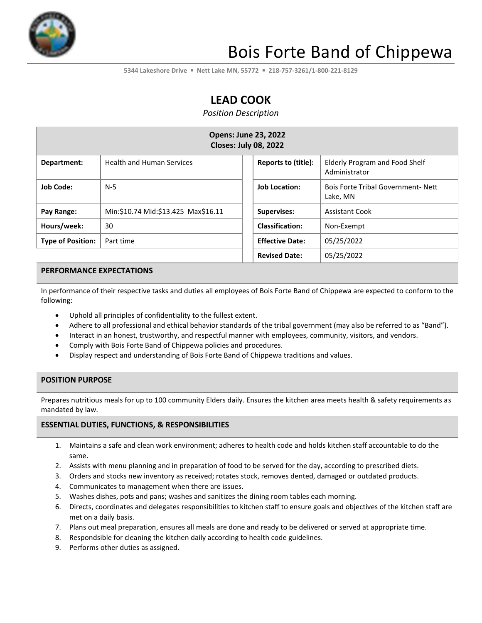

# Bois Forte Band of Chippewa

**5344 Lakeshore Drive** ▪ **Nett Lake MN, 55772** ▪ **218-757-3261/1-800-221-8129**

## **LEAD COOK**

*Position Description*

| <b>Opens: June 23, 2022</b><br><b>Closes: July 08, 2022</b> |                                     |                        |                                                      |  |
|-------------------------------------------------------------|-------------------------------------|------------------------|------------------------------------------------------|--|
| Department:                                                 | <b>Health and Human Services</b>    | Reports to (title):    | Elderly Program and Food Shelf<br>Administrator      |  |
| <b>Job Code:</b>                                            | $N-5$                               | <b>Job Location:</b>   | <b>Bois Forte Tribal Government-Nett</b><br>Lake, MN |  |
| Pay Range:                                                  | Min:\$10.74 Mid:\$13.425 Max\$16.11 | <b>Supervises:</b>     | <b>Assistant Cook</b>                                |  |
| Hours/week:                                                 | 30                                  | <b>Classification:</b> | Non-Exempt                                           |  |
| <b>Type of Position:</b>                                    | Part time                           | <b>Effective Date:</b> | 05/25/2022                                           |  |
|                                                             |                                     | <b>Revised Date:</b>   | 05/25/2022                                           |  |

#### **PERFORMANCE EXPECTATIONS**

In performance of their respective tasks and duties all employees of Bois Forte Band of Chippewa are expected to conform to the following:

- Uphold all principles of confidentiality to the fullest extent.
- Adhere to all professional and ethical behavior standards of the tribal government (may also be referred to as "Band").
- Interact in an honest, trustworthy, and respectful manner with employees, community, visitors, and vendors.
- Comply with Bois Forte Band of Chippewa policies and procedures.
- Display respect and understanding of Bois Forte Band of Chippewa traditions and values.

#### **POSITION PURPOSE**

Prepares nutritious meals for up to 100 community Elders daily. Ensures the kitchen area meets health & safety requirements as mandated by law.

#### **ESSENTIAL DUTIES, FUNCTIONS, & RESPONSIBILITIES**

- 1. Maintains a safe and clean work environment; adheres to health code and holds kitchen staff accountable to do the same.
- 2. Assists with menu planning and in preparation of food to be served for the day, according to prescribed diets.
- 3. Orders and stocks new inventory as received; rotates stock, removes dented, damaged or outdated products.
- 4. Communicates to management when there are issues.
- 5. Washes dishes, pots and pans; washes and sanitizes the dining room tables each morning.
- 6. Directs, coordinates and delegates responsibilities to kitchen staff to ensure goals and objectives of the kitchen staff are met on a daily basis.
- 7. Plans out meal preparation, ensures all meals are done and ready to be delivered or served at appropriate time.
- 8. Respondsible for cleaning the kitchen daily according to health code guidelines.
- 9. Performs other duties as assigned.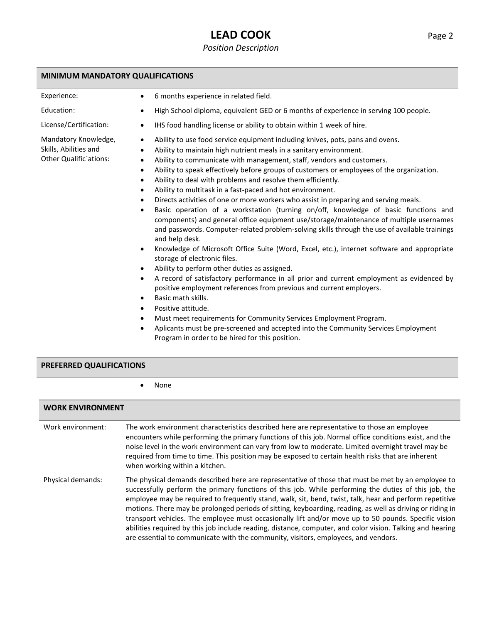### **LEAD COOK** Page 2

### *Position Description*

#### **MINIMUM MANDATORY QUALIFICATIONS**

- Experience: 6 months experience in related field.
- Education: High School diploma, equivalent GED or 6 months of experience in serving 100 people.

Mandatory Knowledge, Skills, Abilities and Other Qualific`ations:

- License/Certification: IHS food handling license or ability to obtain within 1 week of hire. • Ability to use food service equipment including knives, pots, pans and ovens.
	- Ability to maintain high nutrient meals in a sanitary environment.
	- Ability to communicate with management, staff, vendors and customers.
	- Ability to speak effectively before groups of customers or employees of the organization.
	- Ability to deal with problems and resolve them efficiently.
	- Ability to multitask in a fast-paced and hot environment.
	- Directs activities of one or more workers who assist in preparing and serving meals.
	- Basic operation of a workstation (turning on/off, knowledge of basic functions and components) and general office equipment use/storage/maintenance of multiple usernames and passwords. Computer-related problem-solving skills through the use of available trainings and help desk.
	- Knowledge of Microsoft Office Suite (Word, Excel, etc.), internet software and appropriate storage of electronic files.
	- Ability to perform other duties as assigned.
	- A record of satisfactory performance in all prior and current employment as evidenced by positive employment references from previous and current employers.
	- Basic math skills.
	- Positive attitude.
	- Must meet requirements for Community Services Employment Program.
	- Aplicants must be pre-screened and accepted into the Community Services Employment Program in order to be hired for this position.

#### **PREFERRED QUALIFICATIONS**

• None

#### **WORK ENVIRONMENT**

| Work environment: | The work environment characteristics described here are representative to those an employee<br>encounters while performing the primary functions of this job. Normal office conditions exist, and the<br>noise level in the work environment can vary from low to moderate. Limited overnight travel may be<br>required from time to time. This position may be exposed to certain health risks that are inherent<br>when working within a kitchen. |
|-------------------|-----------------------------------------------------------------------------------------------------------------------------------------------------------------------------------------------------------------------------------------------------------------------------------------------------------------------------------------------------------------------------------------------------------------------------------------------------|
| Physical demands: | The physical demands described here are representative of those that must be met by an employee to<br>successfully perform the primary functions of this job. While performing the duties of this job, the<br>employee may be required to frequently stand, walk, sit, bend, twist, talk, hear and perform repetitive<br>motions. There may be prolonged periods of sitting, keyboarding, reading, as well as driving or riding in                  |

transport vehicles. The employee must occasionally lift and/or move up to 50 pounds. Specific vision abilities required by this job include reading, distance, computer, and color vision. Talking and hearing

are essential to communicate with the community, visitors, employees, and vendors.